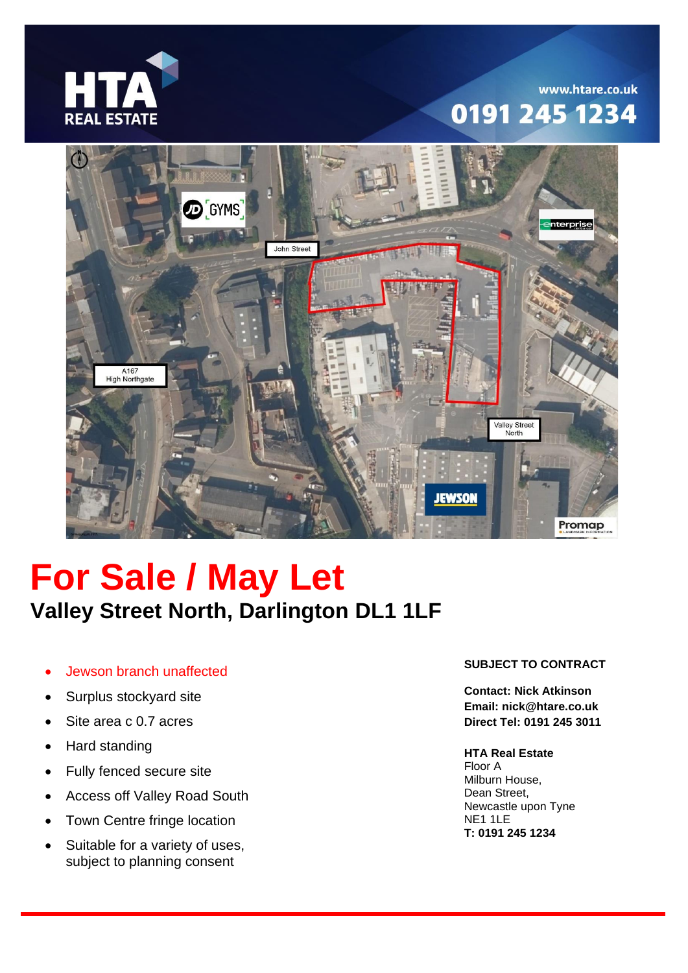

# www.htare.co.uk 0191 245 1234



# **For Sale / May Let Valley Street North, Darlington DL1 1LF**

- Jewson branch unaffected
- Surplus stockyard site
- Site area c 0.7 acres
- Hard standing
- Fully fenced secure site
- Access off Valley Road South
- Town Centre fringe location
- Suitable for a variety of uses, subject to planning consent

# **SUBJECT TO CONTRACT**

**Contact: Nick Atkinson Email: nick@htare.co.uk Direct Tel: 0191 245 3011**

# **HTA Real Estate**

Floor A Milburn House, Dean Street, Newcastle upon Tyne NE1 1LE **T: 0191 245 1234**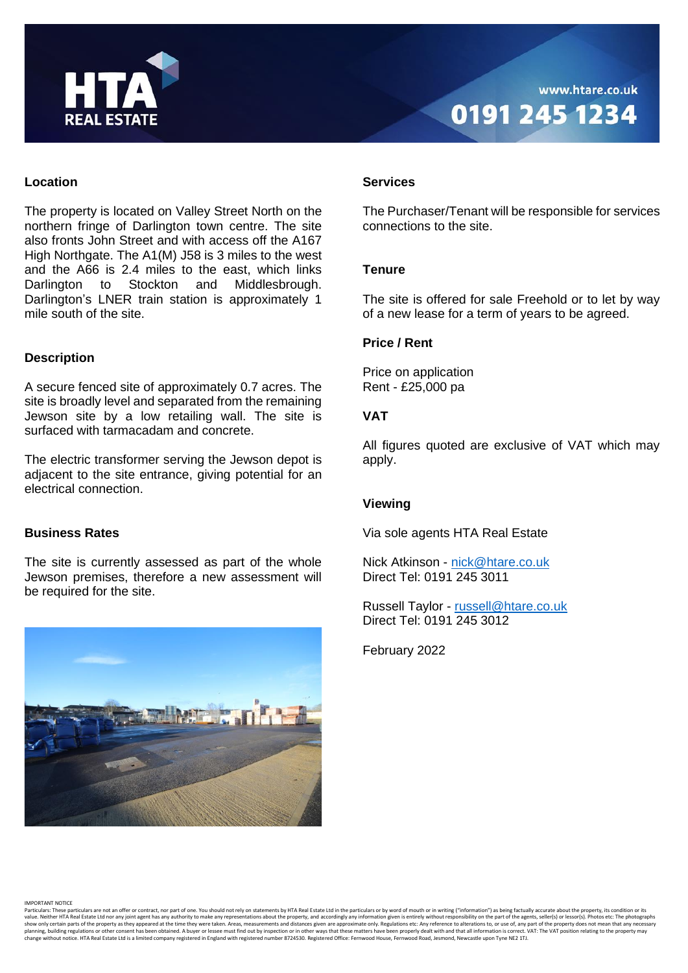

#### **Location**

The property is located on Valley Street North on the northern fringe of Darlington town centre. The site also fronts John Street and with access off the A167 High Northgate. The A1(M) J58 is 3 miles to the west and the A66 is 2.4 miles to the east, which links Darlington to Stockton and Middlesbrough. Darlington's LNER train station is approximately 1 mile south of the site.

# **Description**

A secure fenced site of approximately 0.7 acres. The site is broadly level and separated from the remaining Jewson site by a low retailing wall. The site is surfaced with tarmacadam and concrete.

The electric transformer serving the Jewson depot is adjacent to the site entrance, giving potential for an electrical connection.

#### **Business Rates**

The site is currently assessed as part of the whole Jewson premises, therefore a new assessment will be required for the site.



#### **Services**

The Purchaser/Tenant will be responsible for services connections to the site.

# **Tenure**

The site is offered for sale Freehold or to let by way of a new lease for a term of years to be agreed.

# **Price / Rent**

Price on application Rent - £25,000 pa

# **VAT**

All figures quoted are exclusive of VAT which may apply.

#### **Viewing**

Via sole agents HTA Real Estate

Nick Atkinson - [nick@htare.co.uk](mailto:nick@htare.co.uk) Direct Tel: 0191 245 3011

Russell Taylor - [russell@htare.co.uk](mailto:russell@htare.co.uk) Direct Tel: 0191 245 3012

February 2022

IMPORTANT NOTICE

Particulars: These particulars are not an offer or contract, nor part of one. You should not rely on statements by HTA Real Estate Ltd in the particulars or by word of mouth or in writing ("information") as being factually change without notice. HTA Real Estate Ltd is a limited company registered in England with registered number 8724530. Registered Office: Fernwood House, Fernwood Road, Jesmond, Newcastle upon Tyne NE2 1TJ.